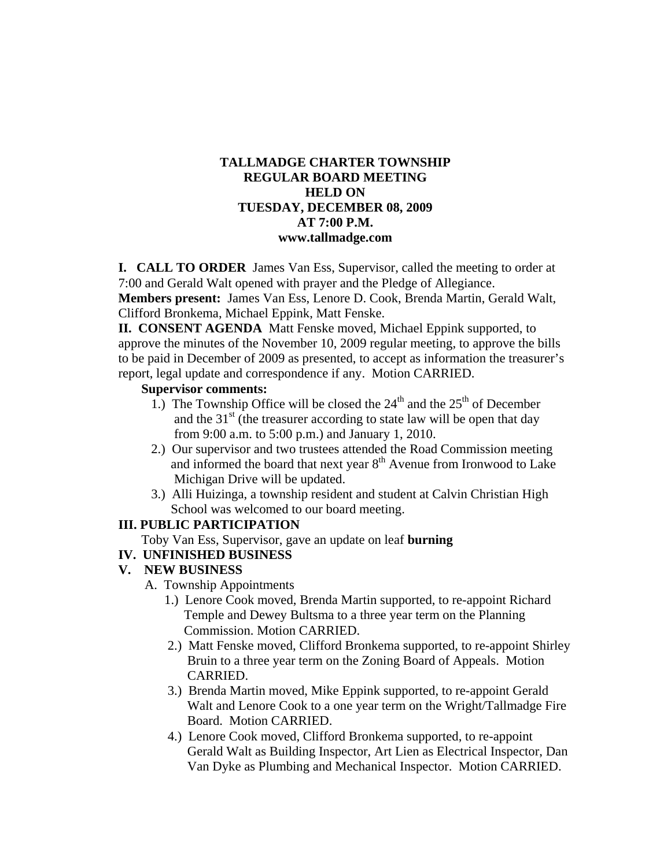#### **TALLMADGE CHARTER TOWNSHIP REGULAR BOARD MEETING HELD ON TUESDAY, DECEMBER 08, 2009 AT 7:00 P.M. www.tallmadge.com**

**I. CALL TO ORDER** James Van Ess, Supervisor, called the meeting to order at 7:00 and Gerald Walt opened with prayer and the Pledge of Allegiance.

**Members present:** James Van Ess, Lenore D. Cook, Brenda Martin, Gerald Walt, Clifford Bronkema, Michael Eppink, Matt Fenske.

**II. CONSENT AGENDA** Matt Fenske moved, Michael Eppink supported, to approve the minutes of the November 10, 2009 regular meeting, to approve the bills to be paid in December of 2009 as presented, to accept as information the treasurer's report, legal update and correspondence if any. Motion CARRIED.

#### **Supervisor comments:**

- 1.) The Township Office will be closed the  $24<sup>th</sup>$  and the  $25<sup>th</sup>$  of December and the  $31<sup>st</sup>$  (the treasurer according to state law will be open that day from 9:00 a.m. to 5:00 p.m.) and January 1, 2010.
- 2.) Our supervisor and two trustees attended the Road Commission meeting and informed the board that next year 8<sup>th</sup> Avenue from Ironwood to Lake Michigan Drive will be updated.
- 3.) Alli Huizinga, a township resident and student at Calvin Christian High School was welcomed to our board meeting.

# **III. PUBLIC PARTICIPATION**

- Toby Van Ess, Supervisor, gave an update on leaf **burning**
- **IV. UNFINISHED BUSINESS**

# **V. NEW BUSINESS**

- A. Township Appointments
	- 1.) Lenore Cook moved, Brenda Martin supported, to re-appoint Richard Temple and Dewey Bultsma to a three year term on the Planning Commission. Motion CARRIED.
	- 2.) Matt Fenske moved, Clifford Bronkema supported, to re-appoint Shirley Bruin to a three year term on the Zoning Board of Appeals. Motion CARRIED.
	- 3.) Brenda Martin moved, Mike Eppink supported, to re-appoint Gerald Walt and Lenore Cook to a one year term on the Wright/Tallmadge Fire Board. Motion CARRIED.
	- 4.) Lenore Cook moved, Clifford Bronkema supported, to re-appoint Gerald Walt as Building Inspector, Art Lien as Electrical Inspector, Dan Van Dyke as Plumbing and Mechanical Inspector. Motion CARRIED.